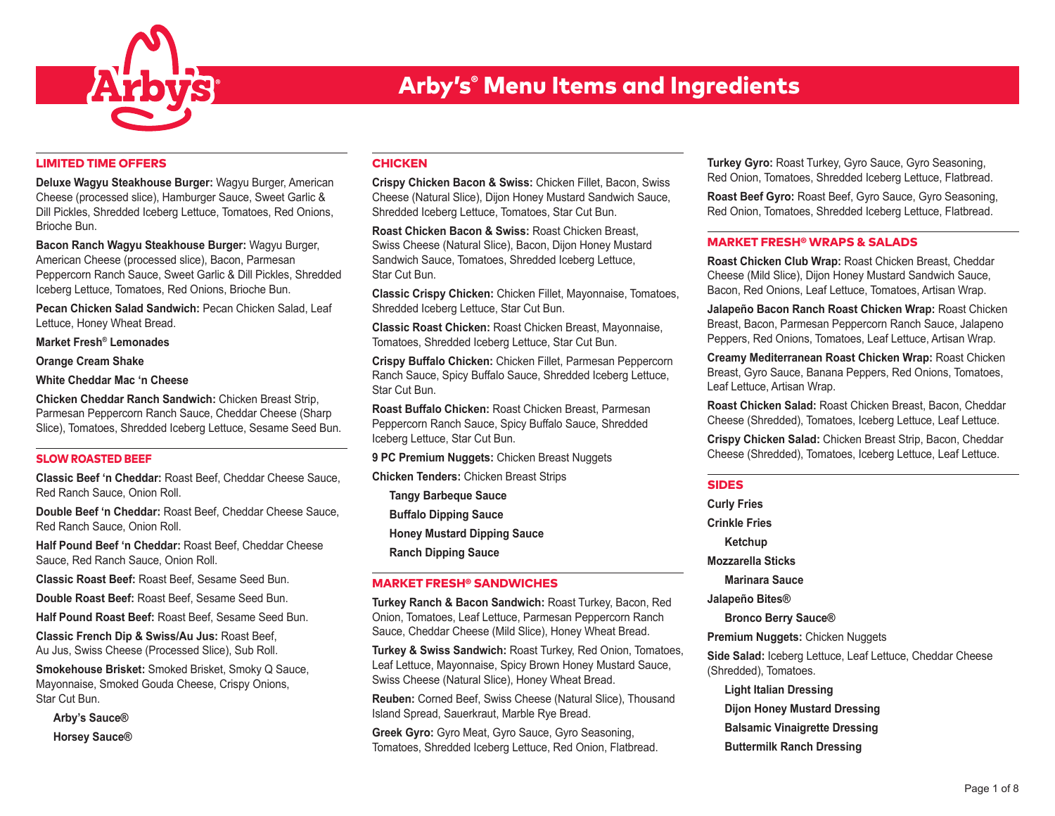

## LIMITED TIME OFFERS

**Deluxe Wagyu Steakhouse Burger:** Wagyu Burger, American Cheese (processed slice), Hamburger Sauce, Sweet Garlic & Dill Pickles, Shredded Iceberg Lettuce, Tomatoes, Red Onions, Brioche Bun.

**Bacon Ranch Wagyu Steakhouse Burger:** Wagyu Burger, American Cheese (processed slice), Bacon, Parmesan Peppercorn Ranch Sauce, Sweet Garlic & Dill Pickles, Shredded Iceberg Lettuce, Tomatoes, Red Onions, Brioche Bun.

**Pecan Chicken Salad Sandwich:** Pecan Chicken Salad, Leaf Lettuce, Honey Wheat Bread.

**Market Fresh® Lemonades**

**Orange Cream Shake**

**White Cheddar Mac 'n Cheese**

**Chicken Cheddar Ranch Sandwich:** Chicken Breast Strip, Parmesan Peppercorn Ranch Sauce, Cheddar Cheese (Sharp Slice), Tomatoes, Shredded Iceberg Lettuce, Sesame Seed Bun.

### SLOW ROASTED BEEF

**Classic Beef 'n Cheddar:** Roast Beef, Cheddar Cheese Sauce, Red Ranch Sauce, Onion Roll.

**Double Beef 'n Cheddar:** Roast Beef, Cheddar Cheese Sauce, Red Ranch Sauce, Onion Roll.

**Half Pound Beef 'n Cheddar:** Roast Beef, Cheddar Cheese Sauce, Red Ranch Sauce, Onion Roll.

**Classic Roast Beef:** Roast Beef, Sesame Seed Bun.

**Double Roast Beef:** Roast Beef, Sesame Seed Bun.

**Half Pound Roast Beef:** Roast Beef, Sesame Seed Bun.

**Classic French Dip & Swiss/Au Jus:** Roast Beef, Au Jus, Swiss Cheese (Processed Slice), Sub Roll.

**Smokehouse Brisket:** Smoked Brisket, Smoky Q Sauce, Mayonnaise, Smoked Gouda Cheese, Crispy Onions, Star Cut Bun.

**Arby's Sauce® Horsey Sauce®**

# **CHICKEN**

**Crispy Chicken Bacon & Swiss:** Chicken Fillet, Bacon, Swiss Cheese (Natural Slice), Dijon Honey Mustard Sandwich Sauce, Shredded Iceberg Lettuce, Tomatoes, Star Cut Bun.

**Roast Chicken Bacon & Swiss:** Roast Chicken Breast, Swiss Cheese (Natural Slice), Bacon, Dijon Honey Mustard Sandwich Sauce, Tomatoes, Shredded Iceberg Lettuce, Star Cut Bun.

**Classic Crispy Chicken:** Chicken Fillet, Mayonnaise, Tomatoes, Shredded Iceberg Lettuce, Star Cut Bun.

**Classic Roast Chicken:** Roast Chicken Breast, Mayonnaise, Tomatoes, Shredded Iceberg Lettuce, Star Cut Bun.

**Crispy Buffalo Chicken:** Chicken Fillet, Parmesan Peppercorn Ranch Sauce, Spicy Buffalo Sauce, Shredded Iceberg Lettuce, Star Cut Bun.

**Roast Buffalo Chicken:** Roast Chicken Breast, Parmesan Peppercorn Ranch Sauce, Spicy Buffalo Sauce, Shredded Iceberg Lettuce, Star Cut Bun.

**9 PC Premium Nuggets:** Chicken Breast Nuggets

**Chicken Tenders:** Chicken Breast Strips

**Tangy Barbeque Sauce**

**Buffalo Dipping Sauce**

**Honey Mustard Dipping Sauce**

**Ranch Dipping Sauce**

# MARKET FRESH® SANDWICHES

**Turkey Ranch & Bacon Sandwich:** Roast Turkey, Bacon, Red Onion, Tomatoes, Leaf Lettuce, Parmesan Peppercorn Ranch Sauce, Cheddar Cheese (Mild Slice), Honey Wheat Bread.

**Turkey & Swiss Sandwich:** Roast Turkey, Red Onion, Tomatoes, Leaf Lettuce, Mayonnaise, Spicy Brown Honey Mustard Sauce, Swiss Cheese (Natural Slice), Honey Wheat Bread.

**Reuben:** Corned Beef, Swiss Cheese (Natural Slice), Thousand Island Spread, Sauerkraut, Marble Rye Bread.

**Greek Gyro:** Gyro Meat, Gyro Sauce, Gyro Seasoning, Tomatoes, Shredded Iceberg Lettuce, Red Onion, Flatbread. **Turkey Gyro:** Roast Turkey, Gyro Sauce, Gyro Seasoning, Red Onion, Tomatoes, Shredded Iceberg Lettuce, Flatbread.

**Roast Beef Gyro:** Roast Beef, Gyro Sauce, Gyro Seasoning, Red Onion, Tomatoes, Shredded Iceberg Lettuce, Flatbread.

# MARKET FRESH® WRAPS & SALADS

**Roast Chicken Club Wrap:** Roast Chicken Breast, Cheddar Cheese (Mild Slice), Dijon Honey Mustard Sandwich Sauce, Bacon, Red Onions, Leaf Lettuce, Tomatoes, Artisan Wrap.

**Jalapeño Bacon Ranch Roast Chicken Wrap:** Roast Chicken Breast, Bacon, Parmesan Peppercorn Ranch Sauce, Jalapeno Peppers, Red Onions, Tomatoes, Leaf Lettuce, Artisan Wrap.

**Creamy Mediterranean Roast Chicken Wrap:** Roast Chicken Breast, Gyro Sauce, Banana Peppers, Red Onions, Tomatoes, Leaf Lettuce, Artisan Wrap.

**Roast Chicken Salad:** Roast Chicken Breast, Bacon, Cheddar Cheese (Shredded), Tomatoes, Iceberg Lettuce, Leaf Lettuce.

**Crispy Chicken Salad:** Chicken Breast Strip, Bacon, Cheddar Cheese (Shredded), Tomatoes, Iceberg Lettuce, Leaf Lettuce.

# SIDES

**Curly Fries Crinkle Fries Ketchup Mozzarella Sticks Marinara Sauce Jalapeño Bites® Bronco Berry Sauce® Premium Nuggets:** Chicken Nuggets **Side Salad:** Iceberg Lettuce, Leaf Lettuce, Cheddar Cheese (Shredded), Tomatoes. **Light Italian Dressing Dijon Honey Mustard Dressing Balsamic Vinaigrette Dressing Buttermilk Ranch Dressing**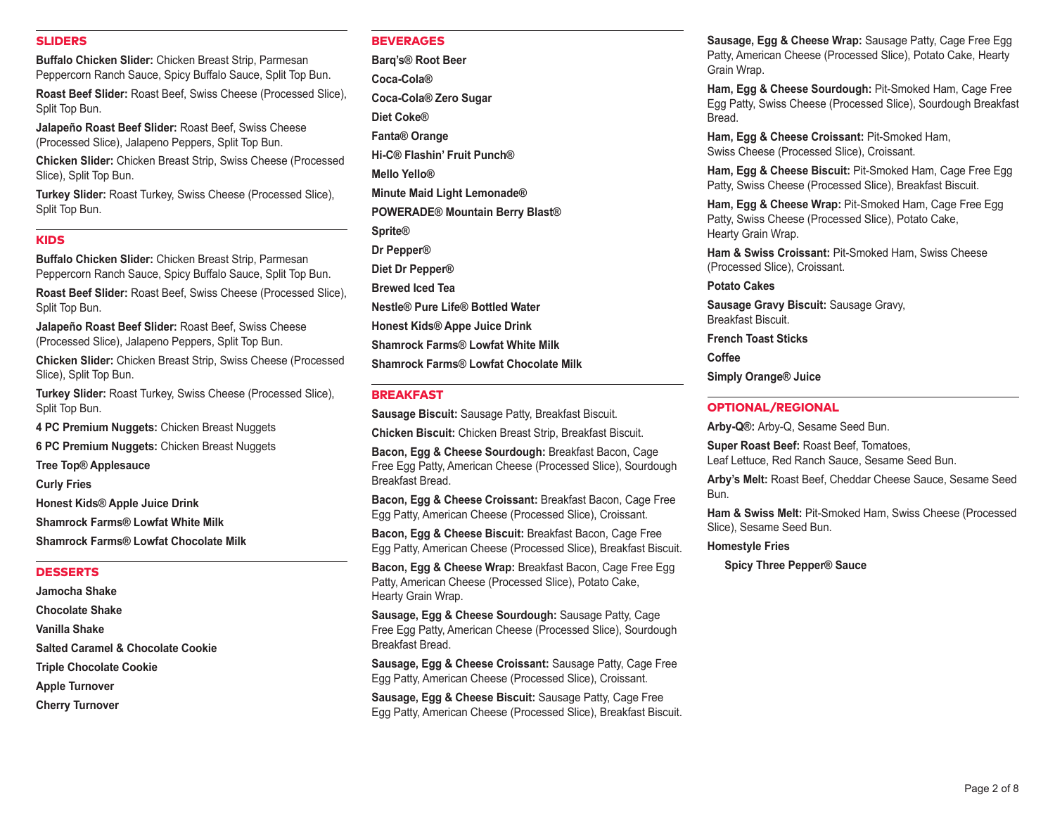## SLIDERS

**Buffalo Chicken Slider:** Chicken Breast Strip, Parmesan Peppercorn Ranch Sauce, Spicy Buffalo Sauce, Split Top Bun.

**Roast Beef Slider:** Roast Beef, Swiss Cheese (Processed Slice), Split Top Bun.

**Jalapeño Roast Beef Slider:** Roast Beef, Swiss Cheese (Processed Slice), Jalapeno Peppers, Split Top Bun.

**Chicken Slider:** Chicken Breast Strip, Swiss Cheese (Processed Slice), Split Top Bun.

**Turkey Slider:** Roast Turkey, Swiss Cheese (Processed Slice), Split Top Bun.

### KIDS

**Buffalo Chicken Slider:** Chicken Breast Strip, Parmesan Peppercorn Ranch Sauce, Spicy Buffalo Sauce, Split Top Bun.

**Roast Beef Slider:** Roast Beef, Swiss Cheese (Processed Slice), Split Top Bun.

**Jalapeño Roast Beef Slider:** Roast Beef, Swiss Cheese (Processed Slice), Jalapeno Peppers, Split Top Bun.

**Chicken Slider:** Chicken Breast Strip, Swiss Cheese (Processed Slice), Split Top Bun.

**Turkey Slider:** Roast Turkey, Swiss Cheese (Processed Slice), Split Top Bun.

**4 PC Premium Nuggets:** Chicken Breast Nuggets

**6 PC Premium Nuggets:** Chicken Breast Nuggets

**Tree Top® Applesauce**

**Curly Fries**

**Honest Kids® Apple Juice Drink Shamrock Farms® Lowfat White Milk Shamrock Farms® Lowfat Chocolate Milk**

#### DESSERTS

**Jamocha Shake Chocolate Shake Vanilla Shake Salted Caramel & Chocolate Cookie Triple Chocolate Cookie Apple Turnover Cherry Turnover**

# **BEVERAGES**

**Barq's® Root Beer Coca-Cola® Coca-Cola® Zero Sugar Diet Coke® Fanta® Orange Hi-C® Flashin' Fruit Punch® Mello Yello® Minute Maid Light Lemonade® POWERADE® Mountain Berry Blast® Sprite® Dr Pepper® Diet Dr Pepper® Brewed Iced Tea Nestle® Pure Life® Bottled Water Honest Kids® Appe Juice Drink Shamrock Farms® Lowfat White Milk Shamrock Farms® Lowfat Chocolate Milk**

### BREAKFAST

**Sausage Biscuit:** Sausage Patty, Breakfast Biscuit.

**Chicken Biscuit:** Chicken Breast Strip, Breakfast Biscuit.

**Bacon, Egg & Cheese Sourdough:** Breakfast Bacon, Cage Free Egg Patty, American Cheese (Processed Slice), Sourdough Breakfast Bread.

**Bacon, Egg & Cheese Croissant:** Breakfast Bacon, Cage Free Egg Patty, American Cheese (Processed Slice), Croissant.

**Bacon, Egg & Cheese Biscuit:** Breakfast Bacon, Cage Free Egg Patty, American Cheese (Processed Slice), Breakfast Biscuit.

**Bacon, Egg & Cheese Wrap:** Breakfast Bacon, Cage Free Egg Patty, American Cheese (Processed Slice), Potato Cake, Hearty Grain Wrap.

**Sausage, Egg & Cheese Sourdough:** Sausage Patty, Cage Free Egg Patty, American Cheese (Processed Slice), Sourdough Breakfast Bread.

**Sausage, Egg & Cheese Croissant:** Sausage Patty, Cage Free Egg Patty, American Cheese (Processed Slice), Croissant.

**Sausage, Egg & Cheese Biscuit:** Sausage Patty, Cage Free Egg Patty, American Cheese (Processed Slice), Breakfast Biscuit. **Sausage, Egg & Cheese Wrap:** Sausage Patty, Cage Free Egg Patty, American Cheese (Processed Slice), Potato Cake, Hearty Grain Wrap.

**Ham, Egg & Cheese Sourdough:** Pit-Smoked Ham, Cage Free Egg Patty, Swiss Cheese (Processed Slice), Sourdough Breakfast Bread.

**Ham, Egg & Cheese Croissant:** Pit-Smoked Ham, Swiss Cheese (Processed Slice), Croissant.

**Ham, Egg & Cheese Biscuit:** Pit-Smoked Ham, Cage Free Egg Patty, Swiss Cheese (Processed Slice), Breakfast Biscuit.

**Ham, Egg & Cheese Wrap:** Pit-Smoked Ham, Cage Free Egg Patty, Swiss Cheese (Processed Slice), Potato Cake, Hearty Grain Wrap.

**Ham & Swiss Croissant:** Pit-Smoked Ham, Swiss Cheese (Processed Slice), Croissant.

**Potato Cakes**

**Sausage Gravy Biscuit:** Sausage Gravy, Breakfast Biscuit.

**French Toast Sticks**

**Coffee**

**Simply Orange® Juice**

## OPTIONAL/REGIONAL

**Arby-Q®:** Arby-Q, Sesame Seed Bun.

**Super Roast Beef:** Roast Beef, Tomatoes, Leaf Lettuce, Red Ranch Sauce, Sesame Seed Bun.

**Arby's Melt:** Roast Beef, Cheddar Cheese Sauce, Sesame Seed Bun.

**Ham & Swiss Melt:** Pit-Smoked Ham, Swiss Cheese (Processed Slice), Sesame Seed Bun.

### **Homestyle Fries**

**Spicy Three Pepper® Sauce**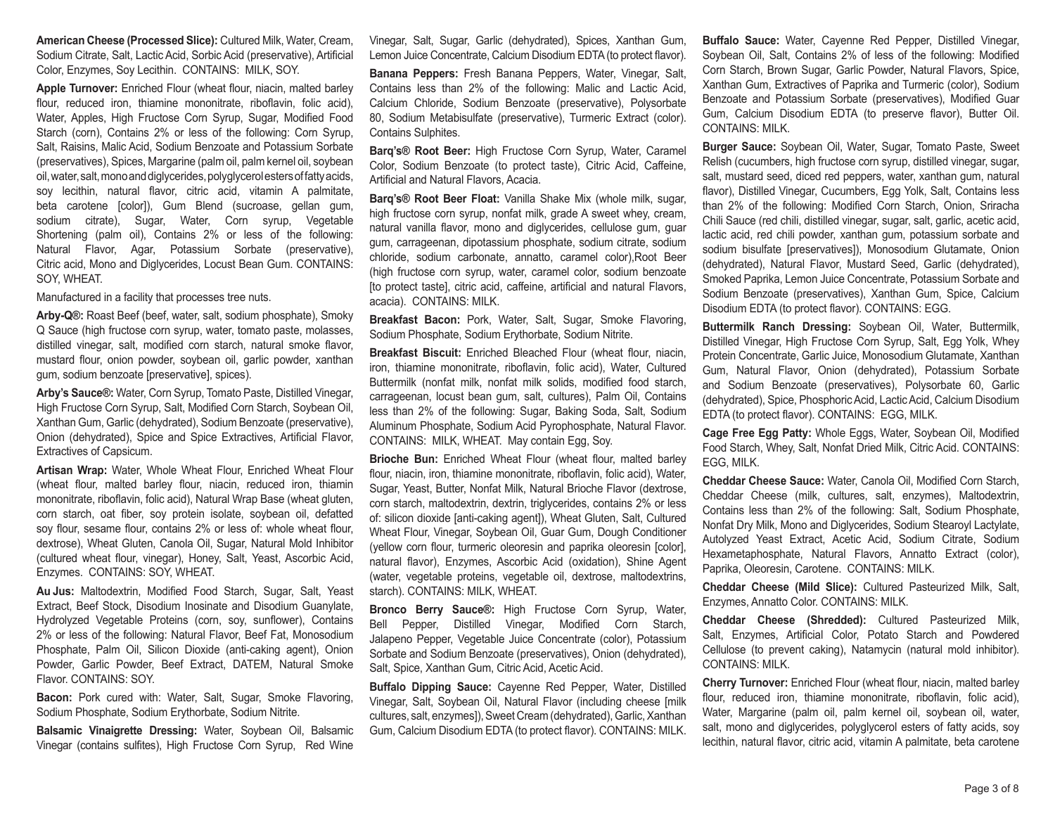**American Cheese (Processed Slice):** Cultured Milk, Water, Cream, Sodium Citrate, Salt, Lactic Acid, Sorbic Acid (preservative), Artificial Color, Enzymes, Soy Lecithin. CONTAINS: MILK, SOY.

**Apple Turnover:** Enriched Flour (wheat flour, niacin, malted barley flour, reduced iron, thiamine mononitrate, riboflavin, folic acid), Water, Apples, High Fructose Corn Syrup, Sugar, Modified Food Starch (corn), Contains 2% or less of the following: Corn Syrup, Salt, Raisins, Malic Acid, Sodium Benzoate and Potassium Sorbate (preservatives), Spices, Margarine (palm oil, palm kernel oil, soybean oil, water, salt, mono and diglycerides, polyglycerol esters of fatty acids, soy lecithin, natural flavor, citric acid, vitamin A palmitate, beta carotene [color]), Gum Blend (sucroase, gellan gum, sodium citrate), Sugar, Water, Corn syrup, Vegetable Shortening (palm oil), Contains 2% or less of the following: Natural Flavor, Agar, Potassium Sorbate (preservative), Citric acid, Mono and Diglycerides, Locust Bean Gum. CONTAINS: SOY, WHEAT.

Manufactured in a facility that processes tree nuts.

**Arby-Q®:** Roast Beef (beef, water, salt, sodium phosphate), Smoky Q Sauce (high fructose corn syrup, water, tomato paste, molasses, distilled vinegar, salt, modified corn starch, natural smoke flavor, mustard flour, onion powder, soybean oil, garlic powder, xanthan gum, sodium benzoate [preservative], spices).

**Arby's Sauce®:** Water, Corn Syrup, Tomato Paste, Distilled Vinegar, High Fructose Corn Syrup, Salt, Modified Corn Starch, Soybean Oil, Xanthan Gum, Garlic (dehydrated), Sodium Benzoate (preservative), Onion (dehydrated), Spice and Spice Extractives, Artificial Flavor, Extractives of Capsicum.

**Artisan Wrap:** Water, Whole Wheat Flour, Enriched Wheat Flour (wheat flour, malted barley flour, niacin, reduced iron, thiamin mononitrate, riboflavin, folic acid), Natural Wrap Base (wheat gluten, corn starch, oat fiber, soy protein isolate, soybean oil, defatted soy flour, sesame flour, contains 2% or less of: whole wheat flour, dextrose), Wheat Gluten, Canola Oil, Sugar, Natural Mold Inhibitor (cultured wheat flour, vinegar), Honey, Salt, Yeast, Ascorbic Acid, Enzymes. CONTAINS: SOY, WHEAT.

**Au Jus:** Maltodextrin, Modified Food Starch, Sugar, Salt, Yeast Extract, Beef Stock, Disodium Inosinate and Disodium Guanylate, Hydrolyzed Vegetable Proteins (corn, soy, sunflower), Contains 2% or less of the following: Natural Flavor, Beef Fat, Monosodium Phosphate, Palm Oil, Silicon Dioxide (anti-caking agent), Onion Powder, Garlic Powder, Beef Extract, DATEM, Natural Smoke Flavor. CONTAINS: SOY.

**Bacon:** Pork cured with: Water, Salt, Sugar, Smoke Flavoring, Sodium Phosphate, Sodium Erythorbate, Sodium Nitrite.

**Balsamic Vinaigrette Dressing:** Water, Soybean Oil, Balsamic Vinegar (contains sulfites), High Fructose Corn Syrup, Red Wine

Vinegar, Salt, Sugar, Garlic (dehydrated), Spices, Xanthan Gum, Lemon Juice Concentrate, Calcium Disodium EDTA (to protect flavor).

**Banana Peppers:** Fresh Banana Peppers, Water, Vinegar, Salt, Contains less than 2% of the following: Malic and Lactic Acid, Calcium Chloride, Sodium Benzoate (preservative), Polysorbate 80, Sodium Metabisulfate (preservative), Turmeric Extract (color). Contains Sulphites.

**Barq's® Root Beer:** High Fructose Corn Syrup, Water, Caramel Color, Sodium Benzoate (to protect taste), Citric Acid, Caffeine, Artificial and Natural Flavors, Acacia.

**Barq's® Root Beer Float:** Vanilla Shake Mix (whole milk, sugar, high fructose corn syrup, nonfat milk, grade A sweet whey, cream, natural vanilla flavor, mono and diglycerides, cellulose gum, guar gum, carrageenan, dipotassium phosphate, sodium citrate, sodium chloride, sodium carbonate, annatto, caramel color),Root Beer (high fructose corn syrup, water, caramel color, sodium benzoate [to protect taste], citric acid, caffeine, artificial and natural Flavors, acacia). CONTAINS: MILK.

**Breakfast Bacon:** Pork, Water, Salt, Sugar, Smoke Flavoring, Sodium Phosphate, Sodium Erythorbate, Sodium Nitrite.

**Breakfast Biscuit:** Enriched Bleached Flour (wheat flour, niacin, iron, thiamine mononitrate, riboflavin, folic acid), Water, Cultured Buttermilk (nonfat milk, nonfat milk solids, modified food starch, carrageenan, locust bean gum, salt, cultures), Palm Oil, Contains less than 2% of the following: Sugar, Baking Soda, Salt, Sodium Aluminum Phosphate, Sodium Acid Pyrophosphate, Natural Flavor. CONTAINS: MILK, WHEAT. May contain Egg, Soy.

**Brioche Bun:** Enriched Wheat Flour (wheat flour, malted barley flour, niacin, iron, thiamine mononitrate, riboflavin, folic acid), Water, Sugar, Yeast, Butter, Nonfat Milk, Natural Brioche Flavor (dextrose, corn starch, maltodextrin, dextrin, triglycerides, contains 2% or less of: silicon dioxide [anti-caking agent]), Wheat Gluten, Salt, Cultured Wheat Flour, Vinegar, Soybean Oil, Guar Gum, Dough Conditioner (yellow corn flour, turmeric oleoresin and paprika oleoresin [color], natural flavor), Enzymes, Ascorbic Acid (oxidation), Shine Agent (water, vegetable proteins, vegetable oil, dextrose, maltodextrins, starch). CONTAINS: MILK, WHEAT.

**Bronco Berry Sauce®:** High Fructose Corn Syrup, Water, Bell Pepper, Distilled Vinegar, Modified Corn Starch, Jalapeno Pepper, Vegetable Juice Concentrate (color), Potassium Sorbate and Sodium Benzoate (preservatives), Onion (dehydrated), Salt, Spice, Xanthan Gum, Citric Acid, Acetic Acid.

**Buffalo Dipping Sauce:** Cayenne Red Pepper, Water, Distilled Vinegar, Salt, Soybean Oil, Natural Flavor (including cheese [milk cultures, salt, enzymes]), Sweet Cream (dehydrated), Garlic, Xanthan Gum, Calcium Disodium EDTA (to protect flavor). CONTAINS: MILK. **Buffalo Sauce:** Water, Cayenne Red Pepper, Distilled Vinegar, Soybean Oil, Salt, Contains 2% of less of the following: Modified Corn Starch, Brown Sugar, Garlic Powder, Natural Flavors, Spice, Xanthan Gum, Extractives of Paprika and Turmeric (color), Sodium Benzoate and Potassium Sorbate (preservatives), Modified Guar Gum, Calcium Disodium EDTA (to preserve flavor), Butter Oil. CONTAINS: MILK.

**Burger Sauce:** Soybean Oil, Water, Sugar, Tomato Paste, Sweet Relish (cucumbers, high fructose corn syrup, distilled vinegar, sugar, salt, mustard seed, diced red peppers, water, xanthan gum, natural flavor), Distilled Vinegar, Cucumbers, Egg Yolk, Salt, Contains less than 2% of the following: Modified Corn Starch, Onion, Sriracha Chili Sauce (red chili, distilled vinegar, sugar, salt, garlic, acetic acid, lactic acid, red chili powder, xanthan gum, potassium sorbate and sodium bisulfate [preservatives]), Monosodium Glutamate, Onion (dehydrated), Natural Flavor, Mustard Seed, Garlic (dehydrated), Smoked Paprika, Lemon Juice Concentrate, Potassium Sorbate and Sodium Benzoate (preservatives), Xanthan Gum, Spice, Calcium Disodium EDTA (to protect flavor). CONTAINS: EGG.

**Buttermilk Ranch Dressing:** Soybean Oil, Water, Buttermilk, Distilled Vinegar, High Fructose Corn Syrup, Salt, Egg Yolk, Whey Protein Concentrate, Garlic Juice, Monosodium Glutamate, Xanthan Gum, Natural Flavor, Onion (dehydrated), Potassium Sorbate and Sodium Benzoate (preservatives), Polysorbate 60, Garlic (dehydrated), Spice, Phosphoric Acid, Lactic Acid, Calcium Disodium EDTA (to protect flavor). CONTAINS: EGG, MILK.

**Cage Free Egg Patty:** Whole Eggs, Water, Soybean Oil, Modified Food Starch, Whey, Salt, Nonfat Dried Milk, Citric Acid. CONTAINS: EGG, MILK.

**Cheddar Cheese Sauce:** Water, Canola Oil, Modified Corn Starch, Cheddar Cheese (milk, cultures, salt, enzymes), Maltodextrin, Contains less than 2% of the following: Salt, Sodium Phosphate, Nonfat Dry Milk, Mono and Diglycerides, Sodium Stearoyl Lactylate, Autolyzed Yeast Extract, Acetic Acid, Sodium Citrate, Sodium Hexametaphosphate, Natural Flavors, Annatto Extract (color), Paprika, Oleoresin, Carotene. CONTAINS: MILK.

**Cheddar Cheese (Mild Slice):** Cultured Pasteurized Milk, Salt, Enzymes, Annatto Color. CONTAINS: MILK.

**Cheddar Cheese (Shredded):** Cultured Pasteurized Milk, Salt, Enzymes, Artificial Color, Potato Starch and Powdered Cellulose (to prevent caking), Natamycin (natural mold inhibitor). CONTAINS: MILK.

**Cherry Turnover:** Enriched Flour (wheat flour, niacin, malted barley flour, reduced iron, thiamine mononitrate, riboflavin, folic acid), Water, Margarine (palm oil, palm kernel oil, soybean oil, water, salt, mono and diglycerides, polyglycerol esters of fatty acids, soy lecithin, natural flavor, citric acid, vitamin A palmitate, beta carotene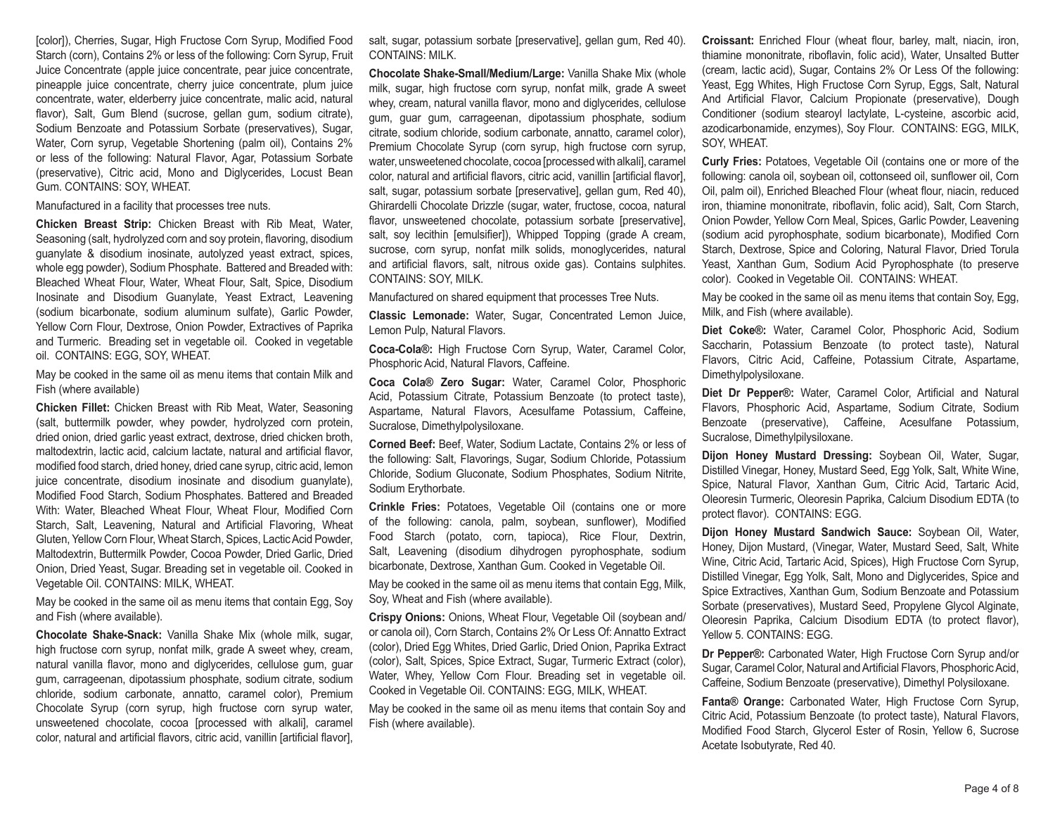[color]), Cherries, Sugar, High Fructose Corn Syrup, Modified Food Starch (corn), Contains 2% or less of the following: Corn Syrup, Fruit Juice Concentrate (apple juice concentrate, pear juice concentrate, pineapple juice concentrate, cherry juice concentrate, plum juice concentrate, water, elderberry juice concentrate, malic acid, natural flavor), Salt, Gum Blend (sucrose, gellan gum, sodium citrate), Sodium Benzoate and Potassium Sorbate (preservatives), Sugar, Water, Corn syrup, Vegetable Shortening (palm oil), Contains 2% or less of the following: Natural Flavor, Agar, Potassium Sorbate (preservative), Citric acid, Mono and Diglycerides, Locust Bean Gum. CONTAINS: SOY, WHEAT.

Manufactured in a facility that processes tree nuts.

**Chicken Breast Strip:** Chicken Breast with Rib Meat, Water, Seasoning (salt, hydrolyzed corn and soy protein, flavoring, disodium guanylate & disodium inosinate, autolyzed yeast extract, spices, whole egg powder), Sodium Phosphate. Battered and Breaded with: Bleached Wheat Flour, Water, Wheat Flour, Salt, Spice, Disodium Inosinate and Disodium Guanylate, Yeast Extract, Leavening (sodium bicarbonate, sodium aluminum sulfate), Garlic Powder, Yellow Corn Flour, Dextrose, Onion Powder, Extractives of Paprika and Turmeric. Breading set in vegetable oil. Cooked in vegetable oil. CONTAINS: EGG, SOY, WHEAT.

May be cooked in the same oil as menu items that contain Milk and Fish (where available)

**Chicken Fillet:** Chicken Breast with Rib Meat, Water, Seasoning (salt, buttermilk powder, whey powder, hydrolyzed corn protein, dried onion, dried garlic yeast extract, dextrose, dried chicken broth, maltodextrin, lactic acid, calcium lactate, natural and artificial flavor, modified food starch, dried honey, dried cane syrup, citric acid, lemon juice concentrate, disodium inosinate and disodium guanylate), Modified Food Starch, Sodium Phosphates. Battered and Breaded With: Water, Bleached Wheat Flour, Wheat Flour, Modified Corn Starch, Salt, Leavening, Natural and Artificial Flavoring, Wheat Gluten, Yellow Corn Flour, Wheat Starch, Spices, Lactic Acid Powder, Maltodextrin, Buttermilk Powder, Cocoa Powder, Dried Garlic, Dried Onion, Dried Yeast, Sugar. Breading set in vegetable oil. Cooked in Vegetable Oil. CONTAINS: MILK, WHEAT.

May be cooked in the same oil as menu items that contain Egg, Soy and Fish (where available).

**Chocolate Shake-Snack:** Vanilla Shake Mix (whole milk, sugar, high fructose corn syrup, nonfat milk, grade A sweet whey, cream, natural vanilla flavor, mono and diglycerides, cellulose gum, guar gum, carrageenan, dipotassium phosphate, sodium citrate, sodium chloride, sodium carbonate, annatto, caramel color), Premium Chocolate Syrup (corn syrup, high fructose corn syrup water, unsweetened chocolate, cocoa [processed with alkali], caramel color, natural and artificial flavors, citric acid, vanillin [artificial flavor],

salt, sugar, potassium sorbate [preservative], gellan gum, Red 40). CONTAINS: MILK.

**Chocolate Shake-Small/Medium/Large:** Vanilla Shake Mix (whole milk, sugar, high fructose corn syrup, nonfat milk, grade A sweet whey, cream, natural vanilla flavor, mono and diglycerides, cellulose gum, guar gum, carrageenan, dipotassium phosphate, sodium citrate, sodium chloride, sodium carbonate, annatto, caramel color), Premium Chocolate Syrup (corn syrup, high fructose corn syrup, water, unsweetened chocolate, cocoa [processed with alkali], caramel color, natural and artificial flavors, citric acid, vanillin [artificial flavor], salt, sugar, potassium sorbate [preservative], gellan gum, Red 40), Ghirardelli Chocolate Drizzle (sugar, water, fructose, cocoa, natural flavor, unsweetened chocolate, potassium sorbate [preservative], salt, soy lecithin [emulsifier]), Whipped Topping (grade A cream, sucrose, corn syrup, nonfat milk solids, monoglycerides, natural and artificial flavors, salt, nitrous oxide gas). Contains sulphites. CONTAINS: SOY, MILK.

Manufactured on shared equipment that processes Tree Nuts.

**Classic Lemonade:** Water, Sugar, Concentrated Lemon Juice, Lemon Pulp, Natural Flavors.

**Coca-Cola®:** High Fructose Corn Syrup, Water, Caramel Color, Phosphoric Acid, Natural Flavors, Caffeine.

**Coca Cola® Zero Sugar:** Water, Caramel Color, Phosphoric Acid, Potassium Citrate, Potassium Benzoate (to protect taste), Aspartame, Natural Flavors, Acesulfame Potassium, Caffeine, Sucralose, Dimethylpolysiloxane.

**Corned Beef:** Beef, Water, Sodium Lactate, Contains 2% or less of the following: Salt, Flavorings, Sugar, Sodium Chloride, Potassium Chloride, Sodium Gluconate, Sodium Phosphates, Sodium Nitrite, Sodium Erythorbate.

**Crinkle Fries:** Potatoes, Vegetable Oil (contains one or more of the following: canola, palm, soybean, sunflower), Modified Food Starch (potato, corn, tapioca), Rice Flour, Dextrin, Salt, Leavening (disodium dihydrogen pyrophosphate, sodium bicarbonate, Dextrose, Xanthan Gum. Cooked in Vegetable Oil.

May be cooked in the same oil as menu items that contain Egg, Milk, Soy, Wheat and Fish (where available).

**Crispy Onions:** Onions, Wheat Flour, Vegetable Oil (soybean and/ or canola oil), Corn Starch, Contains 2% Or Less Of: Annatto Extract (color), Dried Egg Whites, Dried Garlic, Dried Onion, Paprika Extract (color), Salt, Spices, Spice Extract, Sugar, Turmeric Extract (color), Water, Whey, Yellow Corn Flour. Breading set in vegetable oil. Cooked in Vegetable Oil. CONTAINS: EGG, MILK, WHEAT.

May be cooked in the same oil as menu items that contain Soy and Fish (where available).

**Croissant:** Enriched Flour (wheat flour, barley, malt, niacin, iron, thiamine mononitrate, riboflavin, folic acid), Water, Unsalted Butter (cream, lactic acid), Sugar, Contains 2% Or Less Of the following: Yeast, Egg Whites, High Fructose Corn Syrup, Eggs, Salt, Natural And Artificial Flavor, Calcium Propionate (preservative), Dough Conditioner (sodium stearoyl lactylate, L-cysteine, ascorbic acid, azodicarbonamide, enzymes), Soy Flour. CONTAINS: EGG, MILK, SOY, WHEAT.

**Curly Fries:** Potatoes, Vegetable Oil (contains one or more of the following: canola oil, soybean oil, cottonseed oil, sunflower oil, Corn Oil, palm oil), Enriched Bleached Flour (wheat flour, niacin, reduced iron, thiamine mononitrate, riboflavin, folic acid), Salt, Corn Starch, Onion Powder, Yellow Corn Meal, Spices, Garlic Powder, Leavening (sodium acid pyrophosphate, sodium bicarbonate), Modified Corn Starch, Dextrose, Spice and Coloring, Natural Flavor, Dried Torula Yeast, Xanthan Gum, Sodium Acid Pyrophosphate (to preserve color). Cooked in Vegetable Oil. CONTAINS: WHEAT.

May be cooked in the same oil as menu items that contain Soy, Egg, Milk, and Fish (where available).

**Diet Coke®:** Water, Caramel Color, Phosphoric Acid, Sodium Saccharin, Potassium Benzoate (to protect taste), Natural Flavors, Citric Acid, Caffeine, Potassium Citrate, Aspartame, Dimethylpolysiloxane.

**Diet Dr Pepper®:** Water, Caramel Color, Artificial and Natural Flavors, Phosphoric Acid, Aspartame, Sodium Citrate, Sodium Benzoate (preservative), Caffeine, Acesulfane Potassium, Sucralose, Dimethylpilysiloxane.

**Dijon Honey Mustard Dressing:** Soybean Oil, Water, Sugar, Distilled Vinegar, Honey, Mustard Seed, Egg Yolk, Salt, White Wine, Spice, Natural Flavor, Xanthan Gum, Citric Acid, Tartaric Acid, Oleoresin Turmeric, Oleoresin Paprika, Calcium Disodium EDTA (to protect flavor). CONTAINS: EGG.

**Dijon Honey Mustard Sandwich Sauce:** Soybean Oil, Water, Honey, Dijon Mustard, (Vinegar, Water, Mustard Seed, Salt, White Wine, Citric Acid, Tartaric Acid, Spices), High Fructose Corn Syrup, Distilled Vinegar, Egg Yolk, Salt, Mono and Diglycerides, Spice and Spice Extractives, Xanthan Gum, Sodium Benzoate and Potassium Sorbate (preservatives), Mustard Seed, Propylene Glycol Alginate, Oleoresin Paprika, Calcium Disodium EDTA (to protect flavor), Yellow 5. CONTAINS: EGG.

**Dr Pepper®:** Carbonated Water, High Fructose Corn Syrup and/or Sugar, Caramel Color, Natural and Artificial Flavors, Phosphoric Acid, Caffeine, Sodium Benzoate (preservative), Dimethyl Polysiloxane.

**Fanta® Orange:** Carbonated Water, High Fructose Corn Syrup, Citric Acid, Potassium Benzoate (to protect taste), Natural Flavors, Modified Food Starch, Glycerol Ester of Rosin, Yellow 6, Sucrose Acetate Isobutyrate, Red 40.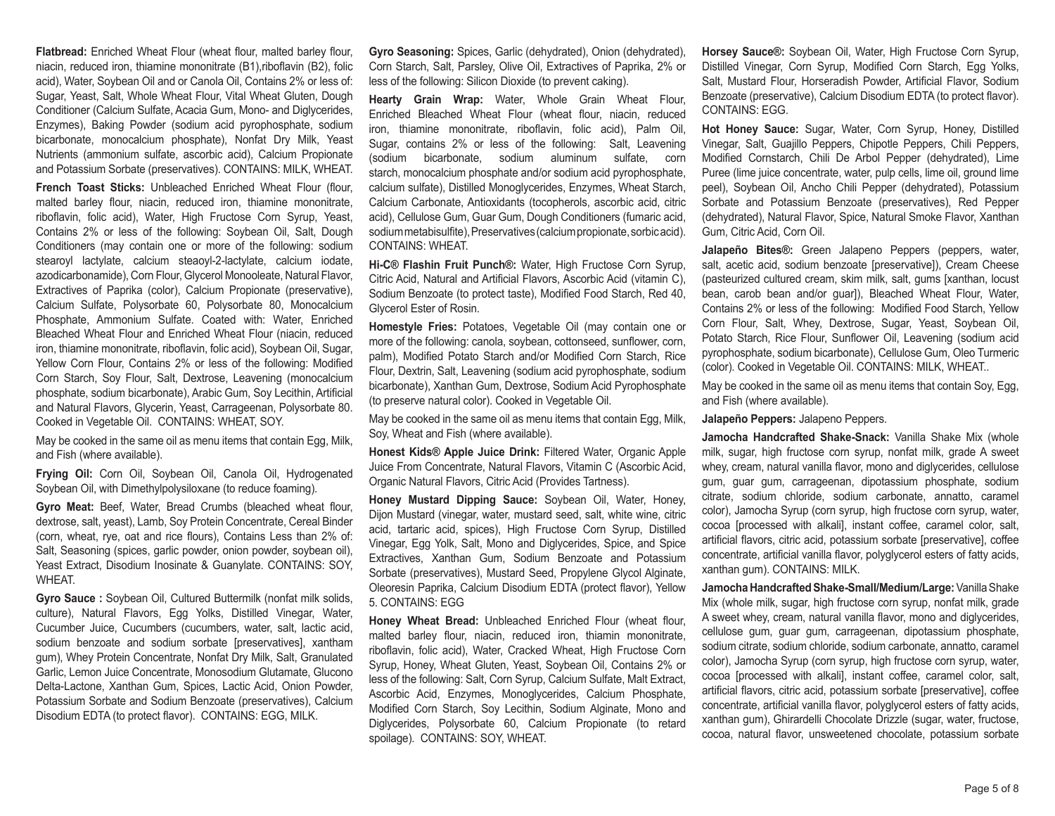**Flatbread:** Enriched Wheat Flour (wheat flour, malted barley flour, niacin, reduced iron, thiamine mononitrate (B1),riboflavin (B2), folic acid), Water, Soybean Oil and or Canola Oil, Contains 2% or less of: Sugar, Yeast, Salt, Whole Wheat Flour, Vital Wheat Gluten, Dough Conditioner (Calcium Sulfate, Acacia Gum, Mono- and Diglycerides, Enzymes), Baking Powder (sodium acid pyrophosphate, sodium bicarbonate, monocalcium phosphate), Nonfat Dry Milk, Yeast Nutrients (ammonium sulfate, ascorbic acid), Calcium Propionate and Potassium Sorbate (preservatives). CONTAINS: MILK, WHEAT.

**French Toast Sticks:** Unbleached Enriched Wheat Flour (flour, malted barley flour, niacin, reduced iron, thiamine mononitrate, riboflavin, folic acid), Water, High Fructose Corn Syrup, Yeast, Contains 2% or less of the following: Soybean Oil, Salt, Dough Conditioners (may contain one or more of the following: sodium stearoyl lactylate, calcium steaoyl-2-lactylate, calcium iodate, azodicarbonamide), Corn Flour, Glycerol Monooleate, Natural Flavor, Extractives of Paprika (color), Calcium Propionate (preservative), Calcium Sulfate, Polysorbate 60, Polysorbate 80, Monocalcium Phosphate, Ammonium Sulfate. Coated with: Water, Enriched Bleached Wheat Flour and Enriched Wheat Flour (niacin, reduced iron, thiamine mononitrate, riboflavin, folic acid), Soybean Oil, Sugar, Yellow Corn Flour, Contains 2% or less of the following: Modified Corn Starch, Soy Flour, Salt, Dextrose, Leavening (monocalcium phosphate, sodium bicarbonate), Arabic Gum, Soy Lecithin, Artificial and Natural Flavors, Glycerin, Yeast, Carrageenan, Polysorbate 80. Cooked in Vegetable Oil. CONTAINS: WHEAT, SOY.

May be cooked in the same oil as menu items that contain Egg, Milk, and Fish (where available).

**Frying Oil:** Corn Oil, Soybean Oil, Canola Oil, Hydrogenated Soybean Oil, with Dimethylpolysiloxane (to reduce foaming).

**Gyro Meat:** Beef, Water, Bread Crumbs (bleached wheat flour, dextrose, salt, yeast), Lamb, Soy Protein Concentrate, Cereal Binder (corn, wheat, rye, oat and rice flours), Contains Less than 2% of: Salt, Seasoning (spices, garlic powder, onion powder, soybean oil), Yeast Extract, Disodium Inosinate & Guanylate. CONTAINS: SOY, WHEAT.

**Gyro Sauce :** Soybean Oil, Cultured Buttermilk (nonfat milk solids, culture), Natural Flavors, Egg Yolks, Distilled Vinegar, Water, Cucumber Juice, Cucumbers (cucumbers, water, salt, lactic acid, sodium benzoate and sodium sorbate [preservatives], xantham gum), Whey Protein Concentrate, Nonfat Dry Milk, Salt, Granulated Garlic, Lemon Juice Concentrate, Monosodium Glutamate, Glucono Delta-Lactone, Xanthan Gum, Spices, Lactic Acid, Onion Powder, Potassium Sorbate and Sodium Benzoate (preservatives), Calcium Disodium EDTA (to protect flavor). CONTAINS: EGG, MILK.

**Gyro Seasoning:** Spices, Garlic (dehydrated), Onion (dehydrated), Corn Starch, Salt, Parsley, Olive Oil, Extractives of Paprika, 2% or less of the following: Silicon Dioxide (to prevent caking).

**Hearty Grain Wrap:** Water, Whole Grain Wheat Flour, Enriched Bleached Wheat Flour (wheat flour, niacin, reduced iron, thiamine mononitrate, riboflavin, folic acid), Palm Oil, Sugar, contains 2% or less of the following: Salt, Leavening (sodium bicarbonate, sodium aluminum sulfate, corn starch, monocalcium phosphate and/or sodium acid pyrophosphate, calcium sulfate), Distilled Monoglycerides, Enzymes, Wheat Starch, Calcium Carbonate, Antioxidants (tocopherols, ascorbic acid, citric acid), Cellulose Gum, Guar Gum, Dough Conditioners (fumaric acid, sodium metabisulfite), Preservatives (calcium propionate, sorbic acid). CONTAINS: WHEAT.

**Hi-C® Flashin Fruit Punch®:** Water, High Fructose Corn Syrup, Citric Acid, Natural and Artificial Flavors, Ascorbic Acid (vitamin C), Sodium Benzoate (to protect taste), Modified Food Starch, Red 40, Glycerol Ester of Rosin.

**Homestyle Fries:** Potatoes, Vegetable Oil (may contain one or more of the following: canola, soybean, cottonseed, sunflower, corn, palm), Modified Potato Starch and/or Modified Corn Starch, Rice Flour, Dextrin, Salt, Leavening (sodium acid pyrophosphate, sodium bicarbonate), Xanthan Gum, Dextrose, Sodium Acid Pyrophosphate (to preserve natural color). Cooked in Vegetable Oil.

May be cooked in the same oil as menu items that contain Egg, Milk, Soy, Wheat and Fish (where available).

**Honest Kids® Apple Juice Drink:** Filtered Water, Organic Apple Juice From Concentrate, Natural Flavors, Vitamin C (Ascorbic Acid, Organic Natural Flavors, Citric Acid (Provides Tartness).

**Honey Mustard Dipping Sauce:** Soybean Oil, Water, Honey, Dijon Mustard (vinegar, water, mustard seed, salt, white wine, citric acid, tartaric acid, spices), High Fructose Corn Syrup, Distilled Vinegar, Egg Yolk, Salt, Mono and Diglycerides, Spice, and Spice Extractives, Xanthan Gum, Sodium Benzoate and Potassium Sorbate (preservatives), Mustard Seed, Propylene Glycol Alginate, Oleoresin Paprika, Calcium Disodium EDTA (protect flavor), Yellow 5. CONTAINS: EGG

**Honey Wheat Bread:** Unbleached Enriched Flour (wheat flour, malted barley flour, niacin, reduced iron, thiamin mononitrate, riboflavin, folic acid), Water, Cracked Wheat, High Fructose Corn Syrup, Honey, Wheat Gluten, Yeast, Soybean Oil, Contains 2% or less of the following: Salt, Corn Syrup, Calcium Sulfate, Malt Extract, Ascorbic Acid, Enzymes, Monoglycerides, Calcium Phosphate, Modified Corn Starch, Soy Lecithin, Sodium Alginate, Mono and Diglycerides, Polysorbate 60, Calcium Propionate (to retard spoilage). CONTAINS: SOY, WHEAT.

**Horsey Sauce®:** Soybean Oil, Water, High Fructose Corn Syrup, Distilled Vinegar, Corn Syrup, Modified Corn Starch, Egg Yolks, Salt, Mustard Flour, Horseradish Powder, Artificial Flavor, Sodium Benzoate (preservative), Calcium Disodium EDTA (to protect flavor). CONTAINS: EGG.

**Hot Honey Sauce:** Sugar, Water, Corn Syrup, Honey, Distilled Vinegar, Salt, Guajillo Peppers, Chipotle Peppers, Chili Peppers, Modified Cornstarch, Chili De Arbol Pepper (dehydrated), Lime Puree (lime juice concentrate, water, pulp cells, lime oil, ground lime peel), Soybean Oil, Ancho Chili Pepper (dehydrated), Potassium Sorbate and Potassium Benzoate (preservatives), Red Pepper (dehydrated), Natural Flavor, Spice, Natural Smoke Flavor, Xanthan Gum, Citric Acid, Corn Oil.

**Jalapeño Bites®:** Green Jalapeno Peppers (peppers, water, salt, acetic acid, sodium benzoate [preservative]), Cream Cheese (pasteurized cultured cream, skim milk, salt, gums [xanthan, locust bean, carob bean and/or guar]), Bleached Wheat Flour, Water, Contains 2% or less of the following: Modified Food Starch, Yellow Corn Flour, Salt, Whey, Dextrose, Sugar, Yeast, Soybean Oil, Potato Starch, Rice Flour, Sunflower Oil, Leavening (sodium acid pyrophosphate, sodium bicarbonate), Cellulose Gum, Oleo Turmeric (color). Cooked in Vegetable Oil. CONTAINS: MILK, WHEAT..

May be cooked in the same oil as menu items that contain Soy, Egg, and Fish (where available).

**Jalapeño Peppers:** Jalapeno Peppers.

**Jamocha Handcrafted Shake-Snack:** Vanilla Shake Mix (whole milk, sugar, high fructose corn syrup, nonfat milk, grade A sweet whey, cream, natural vanilla flavor, mono and diglycerides, cellulose gum, guar gum, carrageenan, dipotassium phosphate, sodium citrate, sodium chloride, sodium carbonate, annatto, caramel color), Jamocha Syrup (corn syrup, high fructose corn syrup, water, cocoa [processed with alkali], instant coffee, caramel color, salt, artificial flavors, citric acid, potassium sorbate [preservative], coffee concentrate, artificial vanilla flavor, polyglycerol esters of fatty acids, xanthan gum). CONTAINS: MILK.

**Jamocha Handcrafted Shake-Small/Medium/Large:** Vanilla Shake Mix (whole milk, sugar, high fructose corn syrup, nonfat milk, grade A sweet whey, cream, natural vanilla flavor, mono and diglycerides, cellulose gum, guar gum, carrageenan, dipotassium phosphate, sodium citrate, sodium chloride, sodium carbonate, annatto, caramel color), Jamocha Syrup (corn syrup, high fructose corn syrup, water, cocoa [processed with alkali], instant coffee, caramel color, salt, artificial flavors, citric acid, potassium sorbate [preservative], coffee concentrate, artificial vanilla flavor, polyglycerol esters of fatty acids, xanthan gum), Ghirardelli Chocolate Drizzle (sugar, water, fructose, cocoa, natural flavor, unsweetened chocolate, potassium sorbate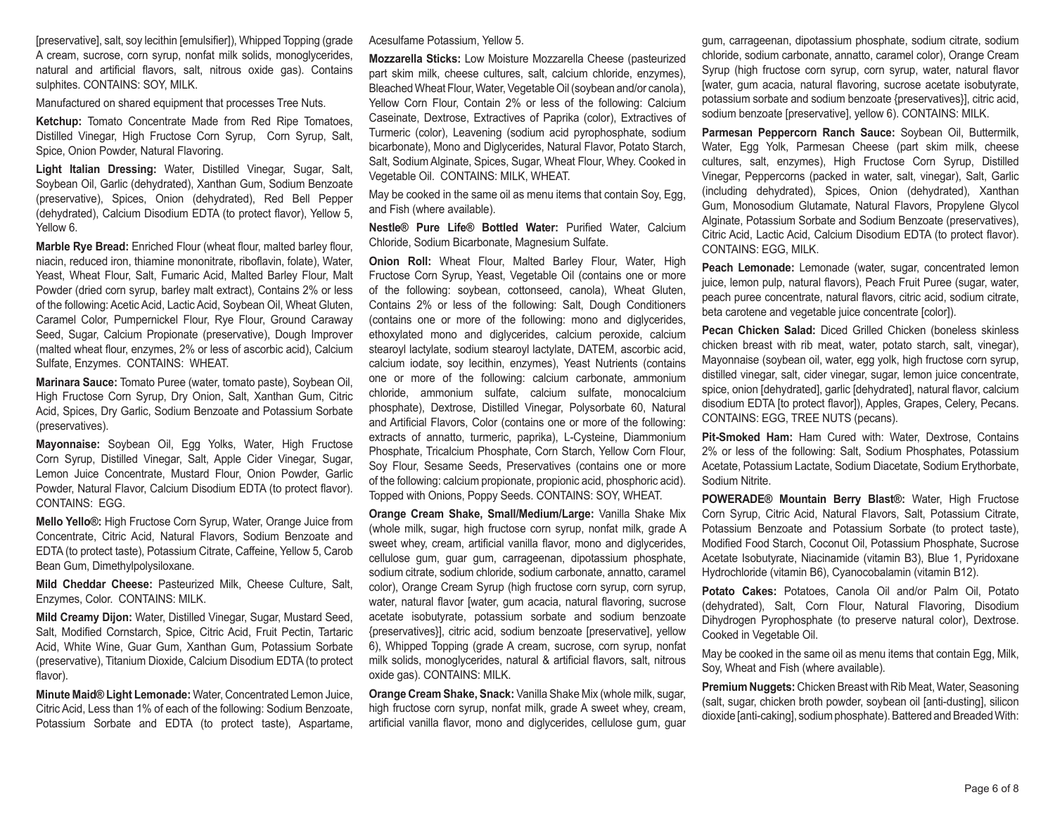[preservative], salt, soy lecithin [emulsifier]), Whipped Topping (grade A cream, sucrose, corn syrup, nonfat milk solids, monoglycerides, natural and artificial flavors, salt, nitrous oxide gas). Contains sulphites. CONTAINS: SOY, MILK.

Manufactured on shared equipment that processes Tree Nuts.

**Ketchup:** Tomato Concentrate Made from Red Ripe Tomatoes, Distilled Vinegar, High Fructose Corn Syrup, Corn Syrup, Salt, Spice, Onion Powder, Natural Flavoring.

**Light Italian Dressing:** Water, Distilled Vinegar, Sugar, Salt, Soybean Oil, Garlic (dehydrated), Xanthan Gum, Sodium Benzoate (preservative), Spices, Onion (dehydrated), Red Bell Pepper (dehydrated), Calcium Disodium EDTA (to protect flavor), Yellow 5, Yellow 6.

**Marble Rye Bread:** Enriched Flour (wheat flour, malted barley flour, niacin, reduced iron, thiamine mononitrate, riboflavin, folate), Water, Yeast, Wheat Flour, Salt, Fumaric Acid, Malted Barley Flour, Malt Powder (dried corn syrup, barley malt extract), Contains 2% or less of the following: Acetic Acid, Lactic Acid, Soybean Oil, Wheat Gluten, Caramel Color, Pumpernickel Flour, Rye Flour, Ground Caraway Seed, Sugar, Calcium Propionate (preservative), Dough Improver (malted wheat flour, enzymes, 2% or less of ascorbic acid), Calcium Sulfate, Enzymes. CONTAINS: WHEAT.

**Marinara Sauce:** Tomato Puree (water, tomato paste), Soybean Oil, High Fructose Corn Syrup, Dry Onion, Salt, Xanthan Gum, Citric Acid, Spices, Dry Garlic, Sodium Benzoate and Potassium Sorbate (preservatives).

**Mayonnaise:** Soybean Oil, Egg Yolks, Water, High Fructose Corn Syrup, Distilled Vinegar, Salt, Apple Cider Vinegar, Sugar, Lemon Juice Concentrate, Mustard Flour, Onion Powder, Garlic Powder, Natural Flavor, Calcium Disodium EDTA (to protect flavor). CONTAINS: EGG.

**Mello Yello®:** High Fructose Corn Syrup, Water, Orange Juice from Concentrate, Citric Acid, Natural Flavors, Sodium Benzoate and EDTA (to protect taste), Potassium Citrate, Caffeine, Yellow 5, Carob Bean Gum, Dimethylpolysiloxane.

**Mild Cheddar Cheese:** Pasteurized Milk, Cheese Culture, Salt, Enzymes, Color. CONTAINS: MILK.

**Mild Creamy Dijon:** Water, Distilled Vinegar, Sugar, Mustard Seed, Salt, Modified Cornstarch, Spice, Citric Acid, Fruit Pectin, Tartaric Acid, White Wine, Guar Gum, Xanthan Gum, Potassium Sorbate (preservative), Titanium Dioxide, Calcium Disodium EDTA (to protect flavor).

**Minute Maid® Light Lemonade:** Water, Concentrated Lemon Juice, Citric Acid, Less than 1% of each of the following: Sodium Benzoate, Potassium Sorbate and EDTA (to protect taste), Aspartame,

Acesulfame Potassium, Yellow 5.

**Mozzarella Sticks:** Low Moisture Mozzarella Cheese (pasteurized part skim milk, cheese cultures, salt, calcium chloride, enzymes), Bleached Wheat Flour, Water, Vegetable Oil (soybean and/or canola), Yellow Corn Flour, Contain 2% or less of the following: Calcium Caseinate, Dextrose, Extractives of Paprika (color), Extractives of Turmeric (color), Leavening (sodium acid pyrophosphate, sodium bicarbonate), Mono and Diglycerides, Natural Flavor, Potato Starch, Salt, Sodium Alginate, Spices, Sugar, Wheat Flour, Whey. Cooked in Vegetable Oil. CONTAINS: MILK, WHEAT.

May be cooked in the same oil as menu items that contain Soy, Egg, and Fish (where available).

**Nestle® Pure Life® Bottled Water:** Purified Water, Calcium Chloride, Sodium Bicarbonate, Magnesium Sulfate.

**Onion Roll:** Wheat Flour, Malted Barley Flour, Water, High Fructose Corn Syrup, Yeast, Vegetable Oil (contains one or more of the following: soybean, cottonseed, canola), Wheat Gluten, Contains 2% or less of the following: Salt, Dough Conditioners (contains one or more of the following: mono and diglycerides, ethoxylated mono and diglycerides, calcium peroxide, calcium stearoyl lactylate, sodium stearoyl lactylate, DATEM, ascorbic acid, calcium iodate, soy lecithin, enzymes), Yeast Nutrients (contains one or more of the following: calcium carbonate, ammonium chloride, ammonium sulfate, calcium sulfate, monocalcium phosphate), Dextrose, Distilled Vinegar, Polysorbate 60, Natural and Artificial Flavors, Color (contains one or more of the following: extracts of annatto, turmeric, paprika), L-Cysteine, Diammonium Phosphate, Tricalcium Phosphate, Corn Starch, Yellow Corn Flour, Soy Flour, Sesame Seeds, Preservatives (contains one or more of the following: calcium propionate, propionic acid, phosphoric acid). Topped with Onions, Poppy Seeds. CONTAINS: SOY, WHEAT.

**Orange Cream Shake, Small/Medium/Large:** Vanilla Shake Mix (whole milk, sugar, high fructose corn syrup, nonfat milk, grade A sweet whey, cream, artificial vanilla flavor, mono and diglycerides, cellulose gum, guar gum, carrageenan, dipotassium phosphate, sodium citrate, sodium chloride, sodium carbonate, annatto, caramel color), Orange Cream Syrup (high fructose corn syrup, corn syrup, water, natural flavor [water, gum acacia, natural flavoring, sucrose acetate isobutyrate, potassium sorbate and sodium benzoate {preservatives}], citric acid, sodium benzoate [preservative], yellow 6), Whipped Topping (grade A cream, sucrose, corn syrup, nonfat milk solids, monoglycerides, natural & artificial flavors, salt, nitrous oxide gas). CONTAINS: MILK.

**Orange Cream Shake, Snack:** Vanilla Shake Mix (whole milk, sugar, high fructose corn syrup, nonfat milk, grade A sweet whey, cream, artificial vanilla flavor, mono and diglycerides, cellulose gum, guar

gum, carrageenan, dipotassium phosphate, sodium citrate, sodium chloride, sodium carbonate, annatto, caramel color), Orange Cream Syrup (high fructose corn syrup, corn syrup, water, natural flavor [water, gum acacia, natural flavoring, sucrose acetate isobutyrate, potassium sorbate and sodium benzoate {preservatives}], citric acid, sodium benzoate [preservative], yellow 6). CONTAINS: MILK.

**Parmesan Peppercorn Ranch Sauce:** Soybean Oil, Buttermilk, Water, Egg Yolk, Parmesan Cheese (part skim milk, cheese cultures, salt, enzymes), High Fructose Corn Syrup, Distilled Vinegar, Peppercorns (packed in water, salt, vinegar), Salt, Garlic (including dehydrated), Spices, Onion (dehydrated), Xanthan Gum, Monosodium Glutamate, Natural Flavors, Propylene Glycol Alginate, Potassium Sorbate and Sodium Benzoate (preservatives), Citric Acid, Lactic Acid, Calcium Disodium EDTA (to protect flavor). CONTAINS: EGG, MILK.

**Peach Lemonade:** Lemonade (water, sugar, concentrated lemon juice, lemon pulp, natural flavors), Peach Fruit Puree (sugar, water, peach puree concentrate, natural flavors, citric acid, sodium citrate, beta carotene and vegetable juice concentrate [color]).

**Pecan Chicken Salad:** Diced Grilled Chicken (boneless skinless chicken breast with rib meat, water, potato starch, salt, vinegar), Mayonnaise (soybean oil, water, egg yolk, high fructose corn syrup, distilled vinegar, salt, cider vinegar, sugar, lemon juice concentrate, spice, onion [dehydrated], garlic [dehydrated], natural flavor, calcium disodium EDTA [to protect flavor]), Apples, Grapes, Celery, Pecans. CONTAINS: EGG, TREE NUTS (pecans).

**Pit-Smoked Ham:** Ham Cured with: Water, Dextrose, Contains 2% or less of the following: Salt, Sodium Phosphates, Potassium Acetate, Potassium Lactate, Sodium Diacetate, Sodium Erythorbate, Sodium Nitrite.

**POWERADE® Mountain Berry Blast®:** Water, High Fructose Corn Syrup, Citric Acid, Natural Flavors, Salt, Potassium Citrate, Potassium Benzoate and Potassium Sorbate (to protect taste), Modified Food Starch, Coconut Oil, Potassium Phosphate, Sucrose Acetate Isobutyrate, Niacinamide (vitamin B3), Blue 1, Pyridoxane Hydrochloride (vitamin B6), Cyanocobalamin (vitamin B12).

**Potato Cakes:** Potatoes, Canola Oil and/or Palm Oil, Potato (dehydrated), Salt, Corn Flour, Natural Flavoring, Disodium Dihydrogen Pyrophosphate (to preserve natural color), Dextrose. Cooked in Vegetable Oil.

May be cooked in the same oil as menu items that contain Egg, Milk, Soy, Wheat and Fish (where available).

**Premium Nuggets:** Chicken Breast with Rib Meat, Water, Seasoning (salt, sugar, chicken broth powder, soybean oil [anti-dusting], silicon dioxide [anti-caking], sodium phosphate). Battered and Breaded With: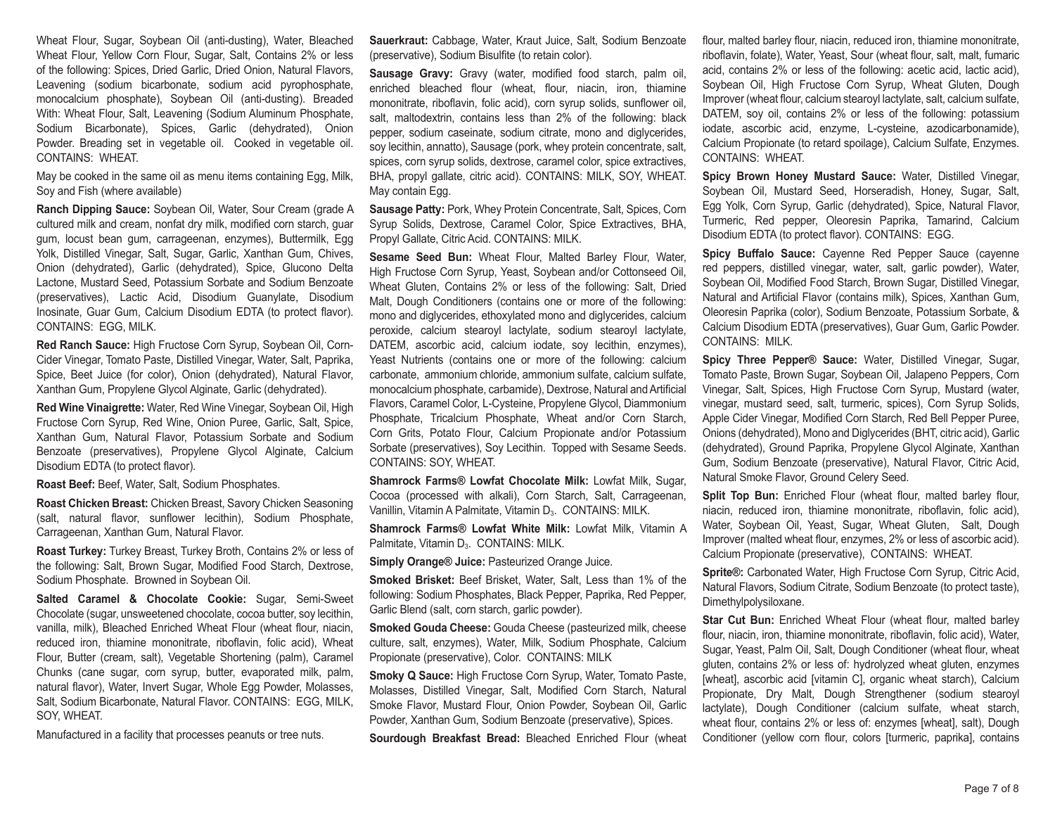Wheat Flour, Sugar, Soybean Oil (anti-dusting), Water, Bleached Wheat Flour, Yellow Corn Flour, Sugar, Salt, Contains 2% or less of the following: Spices, Dried Garlic, Dried Onion, Natural Flavors, Leavening (sodium bicarbonate, sodium acid pyrophosphate, monocalcium phosphate), Soybean Oil (anti-dusting). Breaded With: Wheat Flour, Salt, Leavening (Sodium Aluminum Phosphate, Sodium Bicarbonate), Spices, Garlic (dehydrated), Onion Powder. Breading set in vegetable oil. Cooked in vegetable oil. CONTAINS: WHEAT.

May be cooked in the same oil as menu items containing Egg, Milk, Soy and Fish (where available)

**Ranch Dipping Sauce:** Soybean Oil, Water, Sour Cream (grade A cultured milk and cream, nonfat dry milk, modified corn starch, guar gum, locust bean gum, carrageenan, enzymes), Buttermilk, Egg Yolk, Distilled Vinegar, Salt, Sugar, Garlic, Xanthan Gum, Chives, Onion (dehydrated), Garlic (dehydrated), Spice, Glucono Delta Lactone, Mustard Seed, Potassium Sorbate and Sodium Benzoate (preservatives), Lactic Acid, Disodium Guanylate, Disodium Inosinate, Guar Gum, Calcium Disodium EDTA (to protect flavor). CONTAINS: EGG, MILK.

**Red Ranch Sauce:** High Fructose Corn Syrup, Soybean Oil, Corn-Cider Vinegar, Tomato Paste, Distilled Vinegar, Water, Salt, Paprika, Spice, Beet Juice (for color), Onion (dehydrated), Natural Flavor, Xanthan Gum, Propylene Glycol Alginate, Garlic (dehydrated).

**Red Wine Vinaigrette:** Water, Red Wine Vinegar, Soybean Oil, High Fructose Corn Syrup, Red Wine, Onion Puree, Garlic, Salt, Spice, Xanthan Gum, Natural Flavor, Potassium Sorbate and Sodium Benzoate (preservatives), Propylene Glycol Alginate, Calcium Disodium EDTA (to protect flavor).

**Roast Beef:** Beef, Water, Salt, Sodium Phosphates.

**Roast Chicken Breast:** Chicken Breast, Savory Chicken Seasoning (salt, natural flavor, sunflower lecithin), Sodium Phosphate, Carrageenan, Xanthan Gum, Natural Flavor.

**Roast Turkey:** Turkey Breast, Turkey Broth, Contains 2% or less of the following: Salt, Brown Sugar, Modified Food Starch, Dextrose, Sodium Phosphate. Browned in Soybean Oil.

**Salted Caramel & Chocolate Cookie:** Sugar, Semi-Sweet Chocolate (sugar, unsweetened chocolate, cocoa butter, soy lecithin, vanilla, milk), Bleached Enriched Wheat Flour (wheat flour, niacin, reduced iron, thiamine mononitrate, riboflavin, folic acid), Wheat Flour, Butter (cream, salt), Vegetable Shortening (palm), Caramel Chunks (cane sugar, corn syrup, butter, evaporated milk, palm, natural flavor), Water, Invert Sugar, Whole Egg Powder, Molasses, Salt, Sodium Bicarbonate, Natural Flavor. CONTAINS: EGG, MILK, SOY, WHEAT.

Manufactured in a facility that processes peanuts or tree nuts.

**Sauerkraut:** Cabbage, Water, Kraut Juice, Salt, Sodium Benzoate (preservative), Sodium Bisulfite (to retain color).

**Sausage Gravy:** Gravy (water, modified food starch, palm oil, enriched bleached flour (wheat, flour, niacin, iron, thiamine mononitrate, riboflavin, folic acid), corn syrup solids, sunflower oil, salt, maltodextrin, contains less than 2% of the following: black pepper, sodium caseinate, sodium citrate, mono and diglycerides, soy lecithin, annatto), Sausage (pork, whey protein concentrate, salt, spices, corn syrup solids, dextrose, caramel color, spice extractives, BHA, propyl gallate, citric acid). CONTAINS: MILK, SOY, WHEAT. May contain Egg.

**Sausage Patty:** Pork, Whey Protein Concentrate, Salt, Spices, Corn Syrup Solids, Dextrose, Caramel Color, Spice Extractives, BHA, Propyl Gallate, Citric Acid. CONTAINS: MILK.

**Sesame Seed Bun:** Wheat Flour, Malted Barley Flour, Water, High Fructose Corn Syrup, Yeast, Soybean and/or Cottonseed Oil, Wheat Gluten, Contains 2% or less of the following: Salt, Dried Malt, Dough Conditioners (contains one or more of the following: mono and diglycerides, ethoxylated mono and diglycerides, calcium peroxide, calcium stearoyl lactylate, sodium stearoyl lactylate, DATEM, ascorbic acid, calcium iodate, soy lecithin, enzymes), Yeast Nutrients (contains one or more of the following: calcium carbonate, ammonium chloride, ammonium sulfate, calcium sulfate, monocalcium phosphate, carbamide), Dextrose, Natural and Artificial Flavors, Caramel Color, L-Cysteine, Propylene Glycol, Diammonium Phosphate, Tricalcium Phosphate, Wheat and/or Corn Starch, Corn Grits, Potato Flour, Calcium Propionate and/or Potassium Sorbate (preservatives), Soy Lecithin. Topped with Sesame Seeds. CONTAINS: SOY, WHEAT.

**Shamrock Farms® Lowfat Chocolate Milk:** Lowfat Milk, Sugar, Cocoa (processed with alkali), Corn Starch, Salt, Carrageenan, Vanillin, Vitamin A Palmitate, Vitamin D<sub>3</sub>. CONTAINS: MILK.

**Shamrock Farms® Lowfat White Milk:** Lowfat Milk, Vitamin A Palmitate, Vitamin D<sub>3</sub>. CONTAINS: MILK.

**Simply Orange® Juice:** Pasteurized Orange Juice.

**Smoked Brisket:** Beef Brisket, Water, Salt, Less than 1% of the following: Sodium Phosphates, Black Pepper, Paprika, Red Pepper, Garlic Blend (salt, corn starch, garlic powder).

**Smoked Gouda Cheese:** Gouda Cheese (pasteurized milk, cheese culture, salt, enzymes), Water, Milk, Sodium Phosphate, Calcium Propionate (preservative), Color. CONTAINS: MILK

**Smoky Q Sauce:** High Fructose Corn Syrup, Water, Tomato Paste, Molasses, Distilled Vinegar, Salt, Modified Corn Starch, Natural Smoke Flavor, Mustard Flour, Onion Powder, Soybean Oil, Garlic Powder, Xanthan Gum, Sodium Benzoate (preservative), Spices.

**Sourdough Breakfast Bread:** Bleached Enriched Flour (wheat

flour, malted barley flour, niacin, reduced iron, thiamine mononitrate, riboflavin, folate), Water, Yeast, Sour (wheat flour, salt, malt, fumaric acid, contains 2% or less of the following: acetic acid, lactic acid), Soybean Oil, High Fructose Corn Syrup, Wheat Gluten, Dough Improver (wheat flour, calcium stearoyl lactylate, salt, calcium sulfate, DATEM, soy oil, contains 2% or less of the following: potassium iodate, ascorbic acid, enzyme, L-cysteine, azodicarbonamide), Calcium Propionate (to retard spoilage), Calcium Sulfate, Enzymes. CONTAINS: WHEAT.

**Spicy Brown Honey Mustard Sauce:** Water, Distilled Vinegar, Soybean Oil, Mustard Seed, Horseradish, Honey, Sugar, Salt, Egg Yolk, Corn Syrup, Garlic (dehydrated), Spice, Natural Flavor, Turmeric, Red pepper, Oleoresin Paprika, Tamarind, Calcium Disodium EDTA (to protect flavor). CONTAINS: EGG.

**Spicy Buffalo Sauce:** Cayenne Red Pepper Sauce (cayenne red peppers, distilled vinegar, water, salt, garlic powder), Water, Soybean Oil, Modified Food Starch, Brown Sugar, Distilled Vinegar, Natural and Artificial Flavor (contains milk), Spices, Xanthan Gum, Oleoresin Paprika (color), Sodium Benzoate, Potassium Sorbate, & Calcium Disodium EDTA (preservatives), Guar Gum, Garlic Powder. CONTAINS: MILK.

**Spicy Three Pepper® Sauce:** Water, Distilled Vinegar, Sugar, Tomato Paste, Brown Sugar, Soybean Oil, Jalapeno Peppers, Corn Vinegar, Salt, Spices, High Fructose Corn Syrup, Mustard (water, vinegar, mustard seed, salt, turmeric, spices), Corn Syrup Solids, Apple Cider Vinegar, Modified Corn Starch, Red Bell Pepper Puree, Onions (dehydrated), Mono and Diglycerides (BHT, citric acid), Garlic (dehydrated), Ground Paprika, Propylene Glycol Alginate, Xanthan Gum, Sodium Benzoate (preservative), Natural Flavor, Citric Acid, Natural Smoke Flavor, Ground Celery Seed.

Split Top Bun: Enriched Flour (wheat flour, malted barley flour, niacin, reduced iron, thiamine mononitrate, riboflavin, folic acid), Water, Soybean Oil, Yeast, Sugar, Wheat Gluten, Salt, Dough Improver (malted wheat flour, enzymes, 2% or less of ascorbic acid). Calcium Propionate (preservative), CONTAINS: WHEAT.

**Sprite®:** Carbonated Water, High Fructose Corn Syrup, Citric Acid, Natural Flavors, Sodium Citrate, Sodium Benzoate (to protect taste), Dimethylpolysiloxane.

**Star Cut Bun:** Enriched Wheat Flour (wheat flour, malted barley flour, niacin, iron, thiamine mononitrate, riboflavin, folic acid), Water, Sugar, Yeast, Palm Oil, Salt, Dough Conditioner (wheat flour, wheat gluten, contains 2% or less of: hydrolyzed wheat gluten, enzymes [wheat], ascorbic acid [vitamin C], organic wheat starch), Calcium Propionate, Dry Malt, Dough Strengthener (sodium stearoyl lactylate), Dough Conditioner (calcium sulfate, wheat starch, wheat flour, contains 2% or less of: enzymes [wheat], salt), Dough Conditioner (yellow corn flour, colors [turmeric, paprika], contains